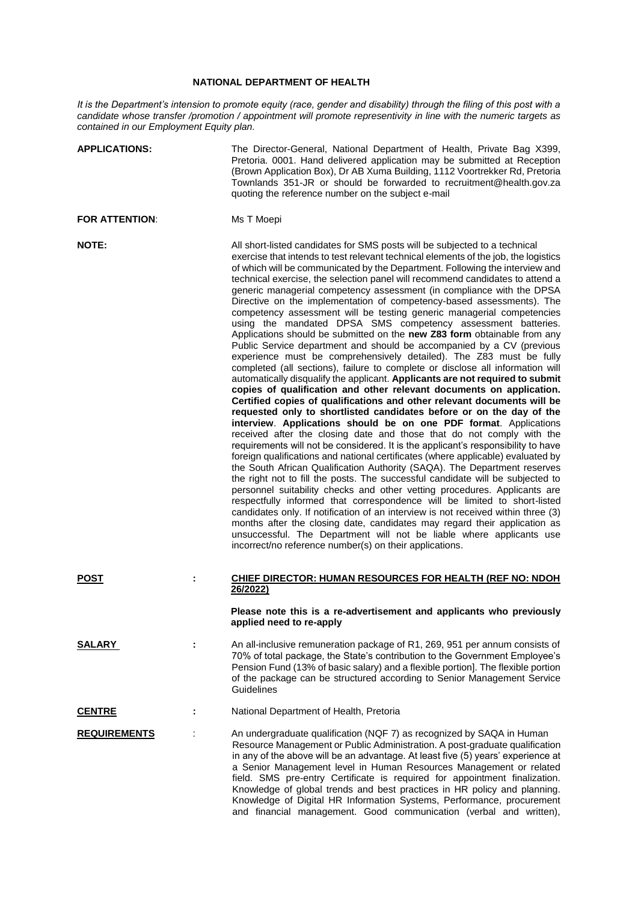## **NATIONAL DEPARTMENT OF HEALTH**

*It is the Department's intension to promote equity (race, gender and disability) through the filing of this post with a candidate whose transfer /promotion / appointment will promote representivity in line with the numeric targets as contained in our Employment Equity plan.*

| <b>APPLICATIONS:</b>  |   | The Director-General, National Department of Health, Private Bag X399,<br>Pretoria. 0001. Hand delivered application may be submitted at Reception<br>(Brown Application Box), Dr AB Xuma Building, 1112 Voortrekker Rd, Pretoria<br>Townlands 351-JR or should be forwarded to recruitment@health.gov.za<br>quoting the reference number on the subject e-mail                                                                                                                                                                                                                                                                                                                                                                                                                                                                                                                                                                                                                                                                                                                                                                                                                                                                                                                                                                                                                                                                                                                                                                                                                                                                                                                                                                                                                                                                                                                                                                                                                                                                                                                                                                                                                                              |
|-----------------------|---|--------------------------------------------------------------------------------------------------------------------------------------------------------------------------------------------------------------------------------------------------------------------------------------------------------------------------------------------------------------------------------------------------------------------------------------------------------------------------------------------------------------------------------------------------------------------------------------------------------------------------------------------------------------------------------------------------------------------------------------------------------------------------------------------------------------------------------------------------------------------------------------------------------------------------------------------------------------------------------------------------------------------------------------------------------------------------------------------------------------------------------------------------------------------------------------------------------------------------------------------------------------------------------------------------------------------------------------------------------------------------------------------------------------------------------------------------------------------------------------------------------------------------------------------------------------------------------------------------------------------------------------------------------------------------------------------------------------------------------------------------------------------------------------------------------------------------------------------------------------------------------------------------------------------------------------------------------------------------------------------------------------------------------------------------------------------------------------------------------------------------------------------------------------------------------------------------------------|
| <b>FOR ATTENTION:</b> |   | Ms T Moepi                                                                                                                                                                                                                                                                                                                                                                                                                                                                                                                                                                                                                                                                                                                                                                                                                                                                                                                                                                                                                                                                                                                                                                                                                                                                                                                                                                                                                                                                                                                                                                                                                                                                                                                                                                                                                                                                                                                                                                                                                                                                                                                                                                                                   |
| <b>NOTE:</b>          |   | All short-listed candidates for SMS posts will be subjected to a technical<br>exercise that intends to test relevant technical elements of the job, the logistics<br>of which will be communicated by the Department. Following the interview and<br>technical exercise, the selection panel will recommend candidates to attend a<br>generic managerial competency assessment (in compliance with the DPSA<br>Directive on the implementation of competency-based assessments). The<br>competency assessment will be testing generic managerial competencies<br>using the mandated DPSA SMS competency assessment batteries.<br>Applications should be submitted on the new Z83 form obtainable from any<br>Public Service department and should be accompanied by a CV (previous<br>experience must be comprehensively detailed). The Z83 must be fully<br>completed (all sections), failure to complete or disclose all information will<br>automatically disqualify the applicant. Applicants are not required to submit<br>copies of qualification and other relevant documents on application.<br>Certified copies of qualifications and other relevant documents will be<br>requested only to shortlisted candidates before or on the day of the<br>interview. Applications should be on one PDF format. Applications<br>received after the closing date and those that do not comply with the<br>requirements will not be considered. It is the applicant's responsibility to have<br>foreign qualifications and national certificates (where applicable) evaluated by<br>the South African Qualification Authority (SAQA). The Department reserves<br>the right not to fill the posts. The successful candidate will be subjected to<br>personnel suitability checks and other vetting procedures. Applicants are<br>respectfully informed that correspondence will be limited to short-listed<br>candidates only. If notification of an interview is not received within three (3)<br>months after the closing date, candidates may regard their application as<br>unsuccessful. The Department will not be liable where applicants use<br>incorrect/no reference number(s) on their applications. |
| <b>POST</b>           | t | CHIEF DIRECTOR: HUMAN RESOURCES FOR HEALTH (REF NO: NDOH<br>26/2022)                                                                                                                                                                                                                                                                                                                                                                                                                                                                                                                                                                                                                                                                                                                                                                                                                                                                                                                                                                                                                                                                                                                                                                                                                                                                                                                                                                                                                                                                                                                                                                                                                                                                                                                                                                                                                                                                                                                                                                                                                                                                                                                                         |
|                       |   | Please note this is a re-advertisement and applicants who previously<br>applied need to re-apply                                                                                                                                                                                                                                                                                                                                                                                                                                                                                                                                                                                                                                                                                                                                                                                                                                                                                                                                                                                                                                                                                                                                                                                                                                                                                                                                                                                                                                                                                                                                                                                                                                                                                                                                                                                                                                                                                                                                                                                                                                                                                                             |
| <b>SALARY</b>         |   | An all-inclusive remuneration package of R1, 269, 951 per annum consists of<br>70% of total package, the State's contribution to the Government Employee's<br>Pension Fund (13% of basic salary) and a flexible portion]. The flexible portion<br>of the package can be structured according to Senior Management Service<br>Guidelines                                                                                                                                                                                                                                                                                                                                                                                                                                                                                                                                                                                                                                                                                                                                                                                                                                                                                                                                                                                                                                                                                                                                                                                                                                                                                                                                                                                                                                                                                                                                                                                                                                                                                                                                                                                                                                                                      |
| <b>CENTRE</b>         |   | National Department of Health, Pretoria                                                                                                                                                                                                                                                                                                                                                                                                                                                                                                                                                                                                                                                                                                                                                                                                                                                                                                                                                                                                                                                                                                                                                                                                                                                                                                                                                                                                                                                                                                                                                                                                                                                                                                                                                                                                                                                                                                                                                                                                                                                                                                                                                                      |
| <b>REQUIREMENTS</b>   |   | An undergraduate qualification (NQF 7) as recognized by SAQA in Human<br>Resource Management or Public Administration. A post-graduate qualification<br>in any of the above will be an advantage. At least five (5) years' experience at<br>a Senior Management level in Human Resources Management or related<br>field. SMS pre-entry Certificate is required for appointment finalization.<br>Knowledge of global trends and best practices in HR policy and planning.<br>Knowledge of Digital HR Information Systems, Performance, procurement<br>and financial management. Good communication (verbal and written),                                                                                                                                                                                                                                                                                                                                                                                                                                                                                                                                                                                                                                                                                                                                                                                                                                                                                                                                                                                                                                                                                                                                                                                                                                                                                                                                                                                                                                                                                                                                                                                      |